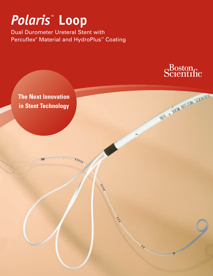# *Polaris ™* **Loop**

Dual Durometer Ureteral Stent with Percuflex® Material and HydroPlus™ Coating

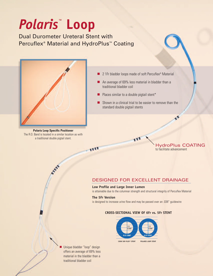# *Polaris ™* **Loop**

Dual Durometer Ureteral Stent with Percuflex<sup>®</sup> Material and HydroPlus<sup>™</sup> Coating



**Polaris Loop Specific Positioner** The R.O. Band is located in a similar location as with a traditional double pigtail stent.

- 2 1Fr bladder loops made of soft Percuflex<sup>®</sup> Material
- An average of 69% less material in bladder than a traditional bladder coil
- Places similar to a double pigtail stent<sup>\*</sup>
- Shown in a clinical trial to be easier to remove than the standard double pigtail stents

to facilitate advancement

HydroPlus COATING

### DESIGNED FOR EXCELLENT DRAINAGE

#### **Low Profile and Large Inner Lumen**

is attainable due to the columnar strength and structural integrity of Percuflex Material

#### **The 5Fr Version**

is designed to increase urine flow and may be passed over an .038" guidewire

#### **CROSS-SECTIONAL VIEW OF 6Fr vs. 5Fr STENT**



**■** Unique bladder "loop" design offers an average of 69% less material in the bladder than a traditional bladder coil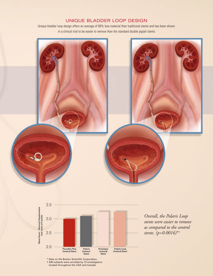## UNIQUE BLADDER LOOP DESIGN

Unique bladder loop design offers an average of 69% less material than traditional stents and has been shown in a clinical trial to be easier to remove than the standard double pigtail stents.





*Overall, the Polaris Loop stents were easier to remove as compared to the control stents. (p=0.0016)*\*†

\* Data on file Boston Scientific Corporation. † 236 subjects were enrolled by 13 investigators located throughout the USA and Canada.